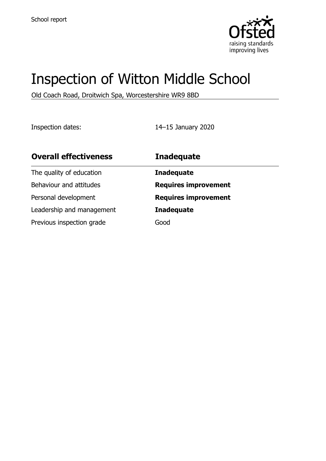

# Inspection of Witton Middle School

Old Coach Road, Droitwich Spa, Worcestershire WR9 8BD

Inspection dates: 14–15 January 2020

| <b>Overall effectiveness</b> | <b>Inadequate</b>           |
|------------------------------|-----------------------------|
| The quality of education     | <b>Inadequate</b>           |
| Behaviour and attitudes      | <b>Requires improvement</b> |
| Personal development         | <b>Requires improvement</b> |
| Leadership and management    | <b>Inadequate</b>           |
| Previous inspection grade    | Good                        |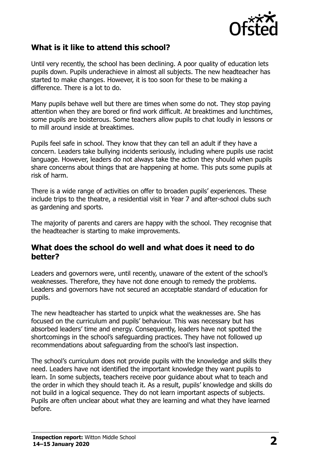

# **What is it like to attend this school?**

Until very recently, the school has been declining. A poor quality of education lets pupils down. Pupils underachieve in almost all subjects. The new headteacher has started to make changes. However, it is too soon for these to be making a difference. There is a lot to do.

Many pupils behave well but there are times when some do not. They stop paying attention when they are bored or find work difficult. At breaktimes and lunchtimes, some pupils are boisterous. Some teachers allow pupils to chat loudly in lessons or to mill around inside at breaktimes.

Pupils feel safe in school. They know that they can tell an adult if they have a concern. Leaders take bullying incidents seriously, including where pupils use racist language. However, leaders do not always take the action they should when pupils share concerns about things that are happening at home. This puts some pupils at risk of harm.

There is a wide range of activities on offer to broaden pupils' experiences. These include trips to the theatre, a residential visit in Year 7 and after-school clubs such as gardening and sports.

The majority of parents and carers are happy with the school. They recognise that the headteacher is starting to make improvements.

#### **What does the school do well and what does it need to do better?**

Leaders and governors were, until recently, unaware of the extent of the school's weaknesses. Therefore, they have not done enough to remedy the problems. Leaders and governors have not secured an acceptable standard of education for pupils.

The new headteacher has started to unpick what the weaknesses are. She has focused on the curriculum and pupils' behaviour. This was necessary but has absorbed leaders' time and energy. Consequently, leaders have not spotted the shortcomings in the school's safeguarding practices. They have not followed up recommendations about safeguarding from the school's last inspection.

The school's curriculum does not provide pupils with the knowledge and skills they need. Leaders have not identified the important knowledge they want pupils to learn. In some subjects, teachers receive poor guidance about what to teach and the order in which they should teach it. As a result, pupils' knowledge and skills do not build in a logical sequence. They do not learn important aspects of subjects. Pupils are often unclear about what they are learning and what they have learned before.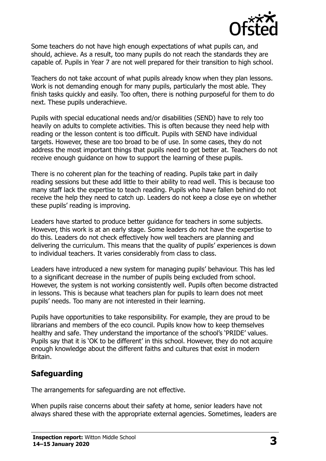

Some teachers do not have high enough expectations of what pupils can, and should, achieve. As a result, too many pupils do not reach the standards they are capable of. Pupils in Year 7 are not well prepared for their transition to high school.

Teachers do not take account of what pupils already know when they plan lessons. Work is not demanding enough for many pupils, particularly the most able. They finish tasks quickly and easily. Too often, there is nothing purposeful for them to do next. These pupils underachieve.

Pupils with special educational needs and/or disabilities (SEND) have to rely too heavily on adults to complete activities. This is often because they need help with reading or the lesson content is too difficult. Pupils with SEND have individual targets. However, these are too broad to be of use. In some cases, they do not address the most important things that pupils need to get better at. Teachers do not receive enough guidance on how to support the learning of these pupils.

There is no coherent plan for the teaching of reading. Pupils take part in daily reading sessions but these add little to their ability to read well. This is because too many staff lack the expertise to teach reading. Pupils who have fallen behind do not receive the help they need to catch up. Leaders do not keep a close eye on whether these pupils' reading is improving.

Leaders have started to produce better guidance for teachers in some subjects. However, this work is at an early stage. Some leaders do not have the expertise to do this. Leaders do not check effectively how well teachers are planning and delivering the curriculum. This means that the quality of pupils' experiences is down to individual teachers. It varies considerably from class to class.

Leaders have introduced a new system for managing pupils' behaviour. This has led to a significant decrease in the number of pupils being excluded from school. However, the system is not working consistently well. Pupils often become distracted in lessons. This is because what teachers plan for pupils to learn does not meet pupils' needs. Too many are not interested in their learning.

Pupils have opportunities to take responsibility. For example, they are proud to be librarians and members of the eco council. Pupils know how to keep themselves healthy and safe. They understand the importance of the school's 'PRIDE' values. Pupils say that it is 'OK to be different' in this school. However, they do not acquire enough knowledge about the different faiths and cultures that exist in modern Britain.

# **Safeguarding**

The arrangements for safeguarding are not effective.

When pupils raise concerns about their safety at home, senior leaders have not always shared these with the appropriate external agencies. Sometimes, leaders are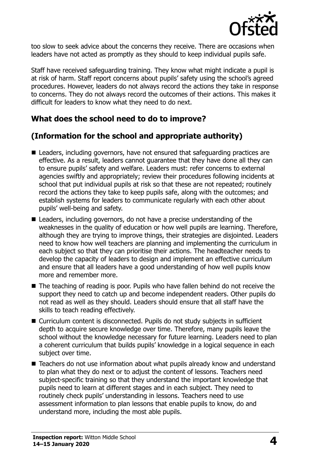

too slow to seek advice about the concerns they receive. There are occasions when leaders have not acted as promptly as they should to keep individual pupils safe.

Staff have received safeguarding training. They know what might indicate a pupil is at risk of harm. Staff report concerns about pupils' safety using the school's agreed procedures. However, leaders do not always record the actions they take in response to concerns. They do not always record the outcomes of their actions. This makes it difficult for leaders to know what they need to do next.

# **What does the school need to do to improve?**

# **(Information for the school and appropriate authority)**

- Leaders, including governors, have not ensured that safeguarding practices are effective. As a result, leaders cannot guarantee that they have done all they can to ensure pupils' safety and welfare. Leaders must: refer concerns to external agencies swiftly and appropriately; review their procedures following incidents at school that put individual pupils at risk so that these are not repeated; routinely record the actions they take to keep pupils safe, along with the outcomes; and establish systems for leaders to communicate regularly with each other about pupils' well-being and safety.
- Leaders, including governors, do not have a precise understanding of the weaknesses in the quality of education or how well pupils are learning. Therefore, although they are trying to improve things, their strategies are disjointed. Leaders need to know how well teachers are planning and implementing the curriculum in each subject so that they can prioritise their actions. The headteacher needs to develop the capacity of leaders to design and implement an effective curriculum and ensure that all leaders have a good understanding of how well pupils know more and remember more.
- The teaching of reading is poor. Pupils who have fallen behind do not receive the support they need to catch up and become independent readers. Other pupils do not read as well as they should. Leaders should ensure that all staff have the skills to teach reading effectively.
- Curriculum content is disconnected. Pupils do not study subjects in sufficient depth to acquire secure knowledge over time. Therefore, many pupils leave the school without the knowledge necessary for future learning. Leaders need to plan a coherent curriculum that builds pupils' knowledge in a logical sequence in each subject over time.
- Teachers do not use information about what pupils already know and understand to plan what they do next or to adjust the content of lessons. Teachers need subject-specific training so that they understand the important knowledge that pupils need to learn at different stages and in each subject. They need to routinely check pupils' understanding in lessons. Teachers need to use assessment information to plan lessons that enable pupils to know, do and understand more, including the most able pupils.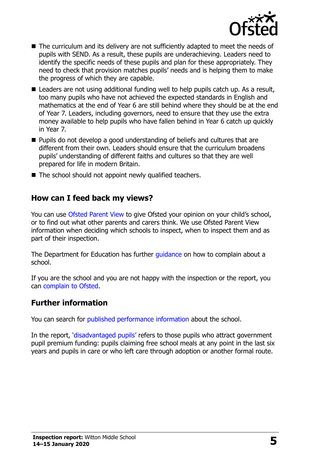

- The curriculum and its delivery are not sufficiently adapted to meet the needs of pupils with SEND. As a result, these pupils are underachieving. Leaders need to identify the specific needs of these pupils and plan for these appropriately. They need to check that provision matches pupils' needs and is helping them to make the progress of which they are capable.
- Leaders are not using additional funding well to help pupils catch up. As a result, too many pupils who have not achieved the expected standards in English and mathematics at the end of Year 6 are still behind where they should be at the end of Year 7. Leaders, including governors, need to ensure that they use the extra money available to help pupils who have fallen behind in Year 6 catch up quickly in Year 7.
- **Pupils do not develop a good understanding of beliefs and cultures that are** different from their own. Leaders should ensure that the curriculum broadens pupils' understanding of different faiths and cultures so that they are well prepared for life in modern Britain.
- The school should not appoint newly qualified teachers.

### **How can I feed back my views?**

You can use [Ofsted Parent View](http://parentview.ofsted.gov.uk/) to give Ofsted your opinion on your child's school, or to find out what other parents and carers think. We use Ofsted Parent View information when deciding which schools to inspect, when to inspect them and as part of their inspection.

The Department for Education has further quidance on how to complain about a school.

If you are the school and you are not happy with the inspection or the report, you can [complain to Ofsted.](http://www.gov.uk/complain-ofsted-report)

#### **Further information**

You can search for [published performance information](http://www.compare-school-performance.service.gov.uk/) about the school.

In the report, '[disadvantaged pupils](http://www.gov.uk/guidance/pupil-premium-information-for-schools-and-alternative-provision-settings)' refers to those pupils who attract government pupil premium funding: pupils claiming free school meals at any point in the last six years and pupils in care or who left care through adoption or another formal route.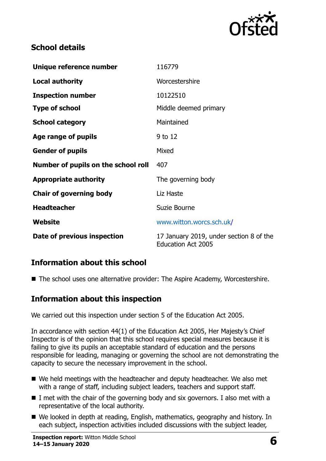

# **School details**

| Unique reference number             | 116779                                                               |  |
|-------------------------------------|----------------------------------------------------------------------|--|
| <b>Local authority</b>              | Worcestershire                                                       |  |
| <b>Inspection number</b>            | 10122510                                                             |  |
| <b>Type of school</b>               | Middle deemed primary                                                |  |
| <b>School category</b>              | Maintained                                                           |  |
| Age range of pupils                 | 9 to 12                                                              |  |
| <b>Gender of pupils</b>             | Mixed                                                                |  |
| Number of pupils on the school roll | 407                                                                  |  |
| <b>Appropriate authority</b>        | The governing body                                                   |  |
| <b>Chair of governing body</b>      | Liz Haste                                                            |  |
| <b>Headteacher</b>                  | Suzie Bourne                                                         |  |
| Website                             | www.witton.worcs.sch.uk/                                             |  |
| Date of previous inspection         | 17 January 2019, under section 8 of the<br><b>Education Act 2005</b> |  |

# **Information about this school**

■ The school uses one alternative provider: The Aspire Academy, Worcestershire.

### **Information about this inspection**

We carried out this inspection under section 5 of the Education Act 2005.

In accordance with section 44(1) of the Education Act 2005, Her Majesty's Chief Inspector is of the opinion that this school requires special measures because it is failing to give its pupils an acceptable standard of education and the persons responsible for leading, managing or governing the school are not demonstrating the capacity to secure the necessary improvement in the school.

- We held meetings with the headteacher and deputy headteacher. We also met with a range of staff, including subject leaders, teachers and support staff.
- $\blacksquare$  I met with the chair of the governing body and six governors. I also met with a representative of the local authority.
- We looked in depth at reading, English, mathematics, geography and history. In each subject, inspection activities included discussions with the subject leader,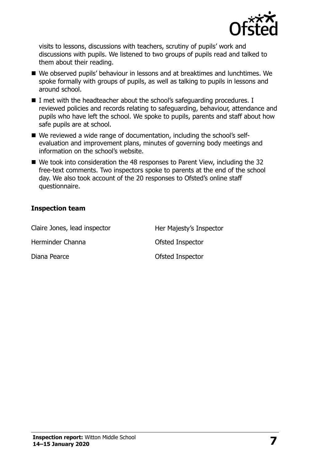

visits to lessons, discussions with teachers, scrutiny of pupils' work and discussions with pupils. We listened to two groups of pupils read and talked to them about their reading.

- We observed pupils' behaviour in lessons and at breaktimes and lunchtimes. We spoke formally with groups of pupils, as well as talking to pupils in lessons and around school.
- I met with the headteacher about the school's safeguarding procedures. I reviewed policies and records relating to safeguarding, behaviour, attendance and pupils who have left the school. We spoke to pupils, parents and staff about how safe pupils are at school.
- We reviewed a wide range of documentation, including the school's selfevaluation and improvement plans, minutes of governing body meetings and information on the school's website.
- We took into consideration the 48 responses to Parent View, including the 32 free-text comments. Two inspectors spoke to parents at the end of the school day. We also took account of the 20 responses to Ofsted's online staff questionnaire.

#### **Inspection team**

| Claire Jones, lead inspector | Her Majesty's Inspector |
|------------------------------|-------------------------|
| Herminder Channa             | Ofsted Inspector        |
| Diana Pearce                 | Ofsted Inspector        |